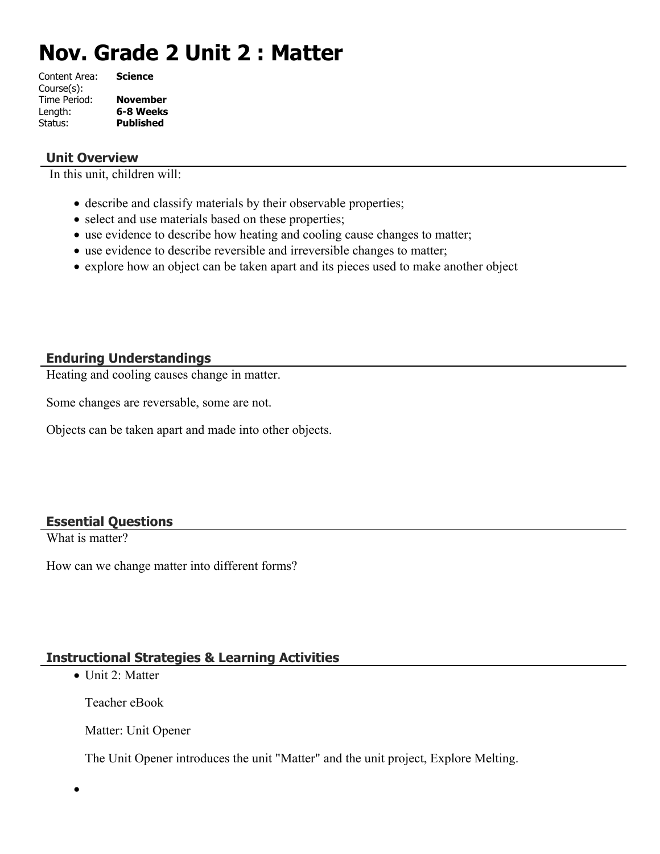# **Nov. Grade 2 Unit 2 : Matter**

| Content Area: | <b>Science</b>   |
|---------------|------------------|
| Course(s):    |                  |
| Time Period:  | <b>November</b>  |
| Length:       | 6-8 Weeks        |
| Status:       | <b>Published</b> |
|               |                  |

### **Unit Overview**

In this unit, children will:

- describe and classify materials by their observable properties;
- select and use materials based on these properties;
- use evidence to describe how heating and cooling cause changes to matter;
- use evidence to describe reversible and irreversible changes to matter;
- explore how an object can be taken apart and its pieces used to make another object

## **Enduring Understandings**

Heating and cooling causes change in matter.

Some changes are reversable, some are not.

Objects can be taken apart and made into other objects.

#### **Essential Questions**

What is matter?

 $\bullet$ 

How can we change matter into different forms?

## **Instructional Strategies & Learning Activities**

 $\bullet$  Unit 2: Matter

Teacher eBook

Matter: Unit Opener

The Unit Opener introduces the unit "Matter" and the unit project, Explore Melting.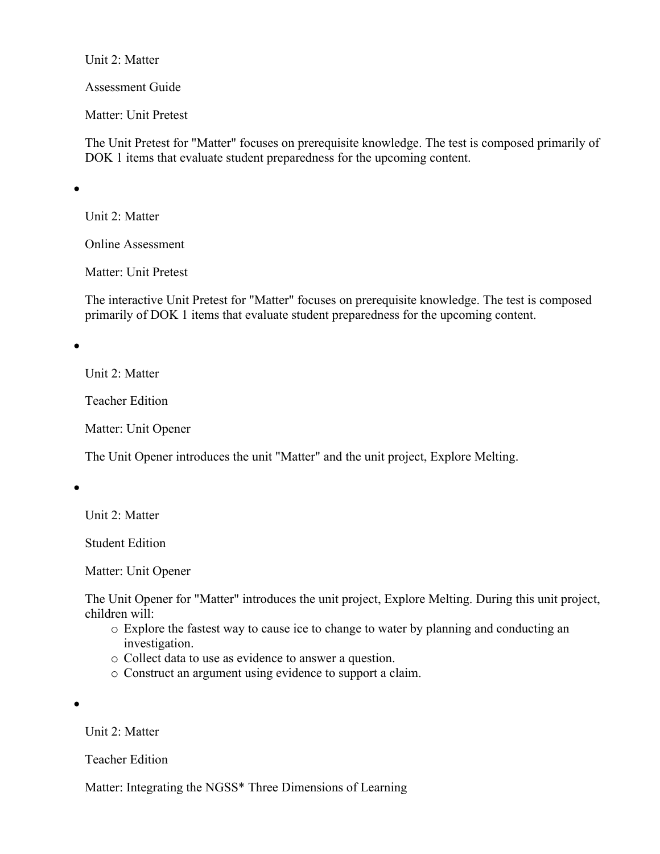Unit 2: Matter

Assessment Guide

Matter: Unit Pretest

The Unit Pretest for "Matter" focuses on prerequisite knowledge. The test is composed primarily of DOK 1 items that evaluate student preparedness for the upcoming content.

 $\bullet$ 

Unit 2: Matter

Online Assessment

Matter: Unit Pretest

The interactive Unit Pretest for "Matter" focuses on prerequisite knowledge. The test is composed primarily of DOK 1 items that evaluate student preparedness for the upcoming content.

 $\bullet$ 

Unit 2: Matter

Teacher Edition

Matter: Unit Opener

The Unit Opener introduces the unit "Matter" and the unit project, Explore Melting.

 $\bullet$ 

Unit 2: Matter

Student Edition

Matter: Unit Opener

The Unit Opener for "Matter" introduces the unit project, Explore Melting. During this unit project, children will:

- o Explore the fastest way to cause ice to change to water by planning and conducting an investigation.
- o Collect data to use as evidence to answer a question.
- o Construct an argument using evidence to support a claim.

 $\bullet$ 

Unit 2: Matter

Teacher Edition

Matter: Integrating the NGSS\* Three Dimensions of Learning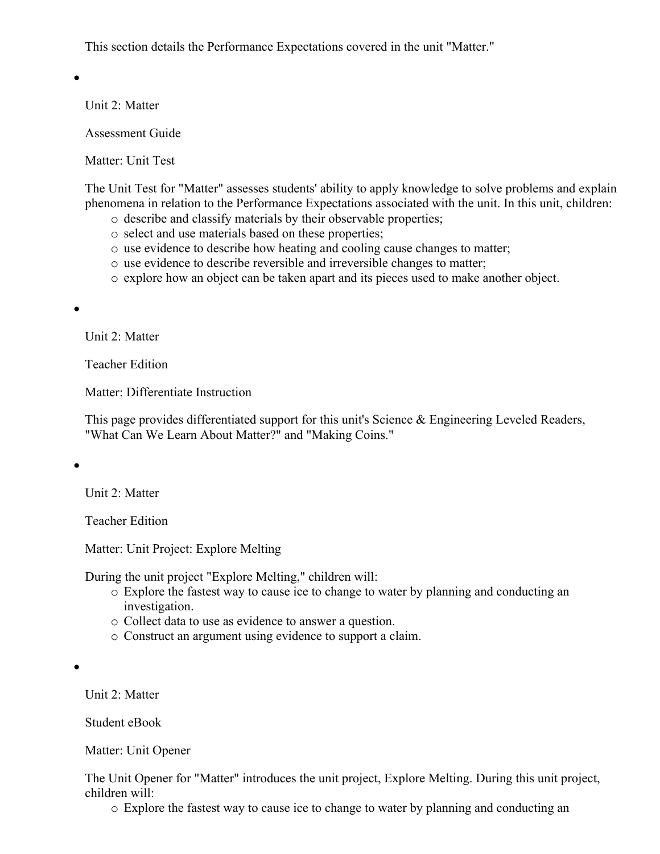This section details the Performance Expectations covered in the unit "Matter."

 $\bullet$ 

Unit 2: Matter

Assessment Guide

Matter: Unit Test

The Unit Test for "Matter" assesses students' ability to apply knowledge to solve problems and explain phenomena in relation to the Performance Expectations associated with the unit. In this unit, children:

- o describe and classify materials by their observable properties;
- o select and use materials based on these properties;
- o use evidence to describe how heating and cooling cause changes to matter;
- o use evidence to describe reversible and irreversible changes to matter;
- o explore how an object can be taken apart and its pieces used to make another object.

 $\bullet$ 

Unit 2: Matter

Teacher Edition

Matter: Differentiate Instruction

This page provides differentiated support for this unit's Science & Engineering Leveled Readers, "What Can We Learn About Matter?" and "Making Coins."

 $\bullet$ 

Unit 2: Matter

Teacher Edition

Matter: Unit Project: Explore Melting

During the unit project "Explore Melting," children will:

- o Explore the fastest way to cause ice to change to water by planning and conducting an investigation.
- o Collect data to use as evidence to answer a question.
- o Construct an argument using evidence to support a claim.

Unit 2: Matter

Student eBook

Matter: Unit Opener

The Unit Opener for "Matter" introduces the unit project, Explore Melting. During this unit project, children will:

o Explore the fastest way to cause ice to change to water by planning and conducting an

 $\bullet$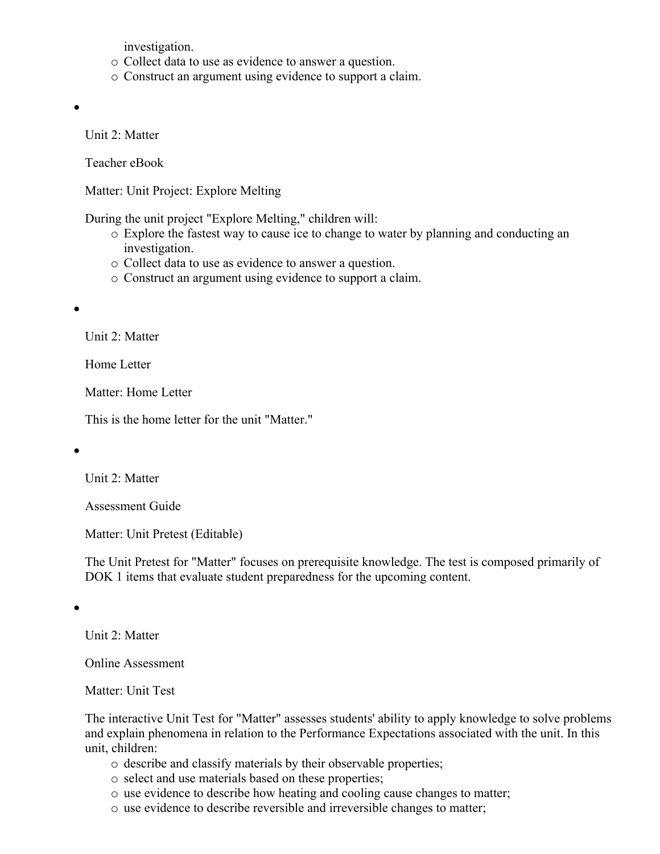investigation.

- o Collect data to use as evidence to answer a question.
- o Construct an argument using evidence to support a claim.

 $\bullet$ 

Unit 2: Matter

Teacher eBook

Matter: Unit Project: Explore Melting

During the unit project "Explore Melting," children will:

- o Explore the fastest way to cause ice to change to water by planning and conducting an investigation.
- o Collect data to use as evidence to answer a question.
- o Construct an argument using evidence to support a claim.

 $\bullet$ 

Unit 2: Matter

Home Letter

Matter: Home Letter

This is the home letter for the unit "Matter."

 $\bullet$ 

Unit 2: Matter

Assessment Guide

Matter: Unit Pretest (Editable)

The Unit Pretest for "Matter" focuses on prerequisite knowledge. The test is composed primarily of DOK 1 items that evaluate student preparedness for the upcoming content.

 $\bullet$ 

Unit 2: Matter

Online Assessment

Matter: Unit Test

The interactive Unit Test for "Matter" assesses students' ability to apply knowledge to solve problems and explain phenomena in relation to the Performance Expectations associated with the unit. In this unit, children:

- o describe and classify materials by their observable properties;
- o select and use materials based on these properties;
- o use evidence to describe how heating and cooling cause changes to matter;
- o use evidence to describe reversible and irreversible changes to matter;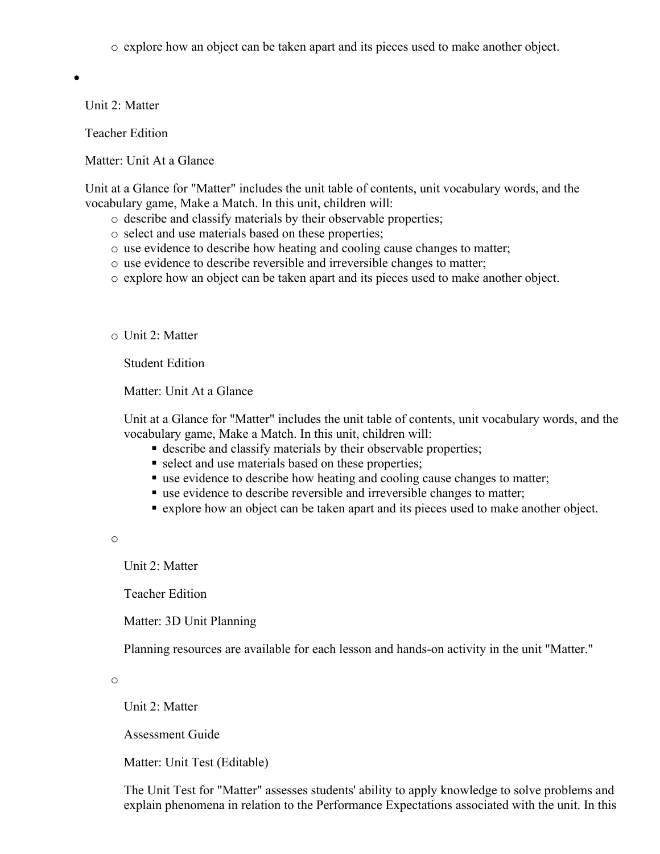o explore how an object can be taken apart and its pieces used to make another object.

 $\bullet$ 

Unit 2: Matter

Teacher Edition

Matter: Unit At a Glance

Unit at a Glance for "Matter" includes the unit table of contents, unit vocabulary words, and the vocabulary game, Make a Match. In this unit, children will:

- o describe and classify materials by their observable properties;
- o select and use materials based on these properties;
- o use evidence to describe how heating and cooling cause changes to matter;
- o use evidence to describe reversible and irreversible changes to matter;
- o explore how an object can be taken apart and its pieces used to make another object.
- o Unit 2: Matter

Student Edition

Matter: Unit At a Glance

Unit at a Glance for "Matter" includes the unit table of contents, unit vocabulary words, and the vocabulary game, Make a Match. In this unit, children will:

- describe and classify materials by their observable properties;
- select and use materials based on these properties;
- use evidence to describe how heating and cooling cause changes to matter;
- use evidence to describe reversible and irreversible changes to matter;
- explore how an object can be taken apart and its pieces used to make another object.

o

Unit 2: Matter

Teacher Edition

Matter: 3D Unit Planning

Planning resources are available for each lesson and hands-on activity in the unit "Matter."

o

Unit 2: Matter

Assessment Guide

Matter: Unit Test (Editable)

The Unit Test for "Matter" assesses students' ability to apply knowledge to solve problems and explain phenomena in relation to the Performance Expectations associated with the unit. In this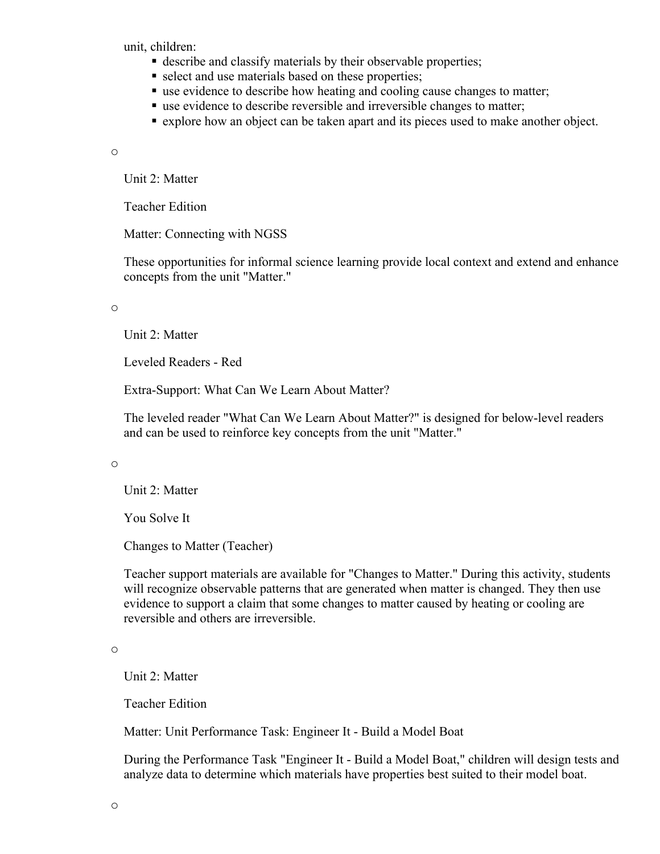unit, children:

- describe and classify materials by their observable properties;
- select and use materials based on these properties;
- use evidence to describe how heating and cooling cause changes to matter;
- use evidence to describe reversible and irreversible changes to matter;
- explore how an object can be taken apart and its pieces used to make another object.

o

Unit 2: Matter

Teacher Edition

Matter: Connecting with NGSS

These opportunities for informal science learning provide local context and extend and enhance concepts from the unit "Matter."

o

Unit 2: Matter

Leveled Readers - Red

Extra-Support: What Can We Learn About Matter?

The leveled reader "What Can We Learn About Matter?" is designed for below-level readers and can be used to reinforce key concepts from the unit "Matter."

o

Unit 2: Matter

You Solve It

Changes to Matter (Teacher)

Teacher support materials are available for "Changes to Matter." During this activity, students will recognize observable patterns that are generated when matter is changed. They then use evidence to support a claim that some changes to matter caused by heating or cooling are reversible and others are irreversible.

o

Unit 2: Matter

Teacher Edition

Matter: Unit Performance Task: Engineer It - Build a Model Boat

During the Performance Task "Engineer It - Build a Model Boat," children will design tests and analyze data to determine which materials have properties best suited to their model boat.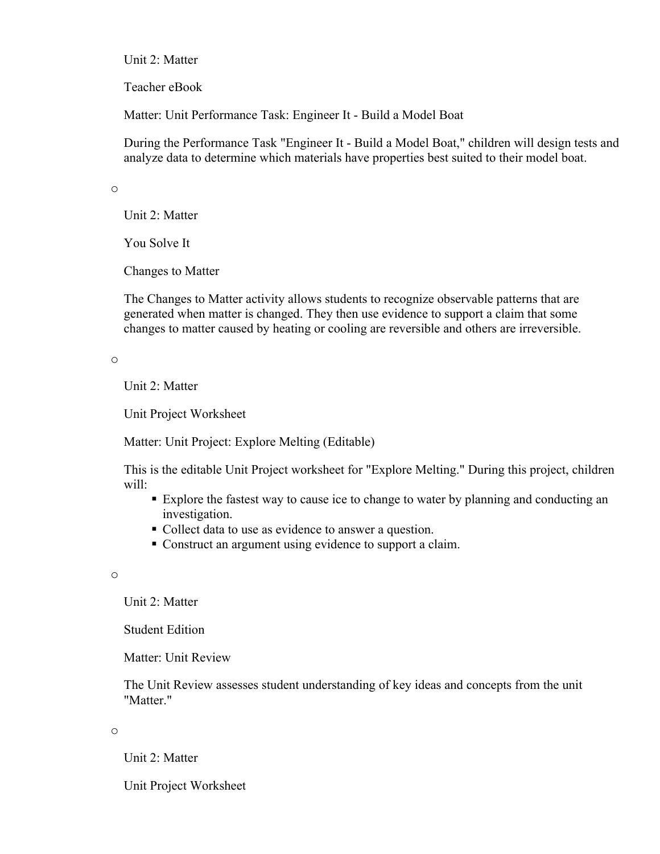Unit 2: Matter

Teacher eBook

Matter: Unit Performance Task: Engineer It - Build a Model Boat

During the Performance Task "Engineer It - Build a Model Boat," children will design tests and analyze data to determine which materials have properties best suited to their model boat.

o

Unit 2: Matter

You Solve It

Changes to Matter

The Changes to Matter activity allows students to recognize observable patterns that are generated when matter is changed. They then use evidence to support a claim that some changes to matter caused by heating or cooling are reversible and others are irreversible.

o

Unit 2: Matter

Unit Project Worksheet

Matter: Unit Project: Explore Melting (Editable)

This is the editable Unit Project worksheet for "Explore Melting." During this project, children will:

- Explore the fastest way to cause ice to change to water by planning and conducting an investigation.
- Collect data to use as evidence to answer a question.
- Construct an argument using evidence to support a claim.

o

Unit 2: Matter

Student Edition

Matter: Unit Review

The Unit Review assesses student understanding of key ideas and concepts from the unit "Matter."

o

Unit 2: Matter

Unit Project Worksheet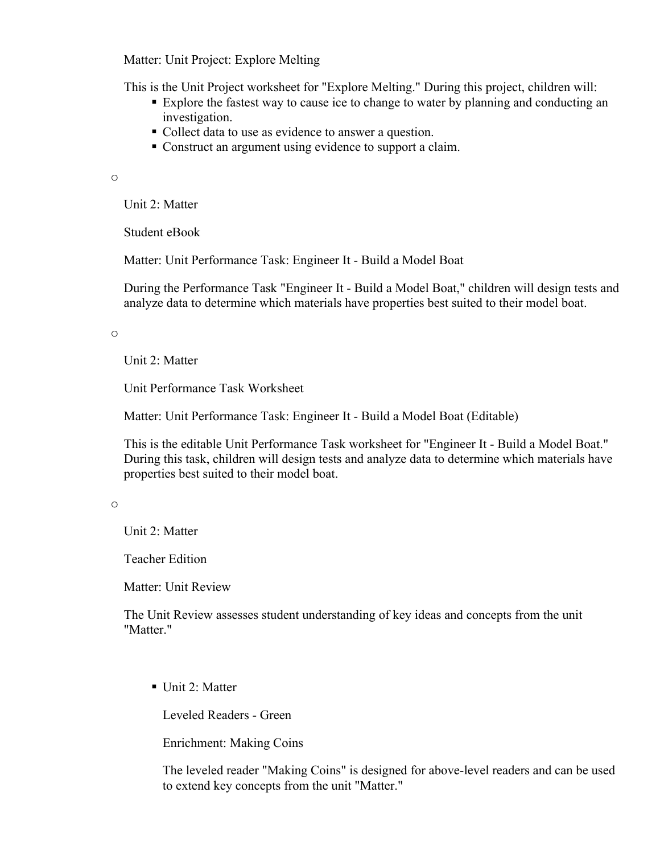Matter: Unit Project: Explore Melting

This is the Unit Project worksheet for "Explore Melting." During this project, children will:

- Explore the fastest way to cause ice to change to water by planning and conducting an investigation.
- Collect data to use as evidence to answer a question.
- Construct an argument using evidence to support a claim.

o

Unit 2: Matter

Student eBook

Matter: Unit Performance Task: Engineer It - Build a Model Boat

During the Performance Task "Engineer It - Build a Model Boat," children will design tests and analyze data to determine which materials have properties best suited to their model boat.

o

Unit 2: Matter

Unit Performance Task Worksheet

Matter: Unit Performance Task: Engineer It - Build a Model Boat (Editable)

This is the editable Unit Performance Task worksheet for "Engineer It - Build a Model Boat." During this task, children will design tests and analyze data to determine which materials have properties best suited to their model boat.

o

Unit 2: Matter

Teacher Edition

Matter: Unit Review

The Unit Review assesses student understanding of key ideas and concepts from the unit "Matter."

Unit 2: Matter

Leveled Readers - Green

Enrichment: Making Coins

The leveled reader "Making Coins" is designed for above-level readers and can be used to extend key concepts from the unit "Matter."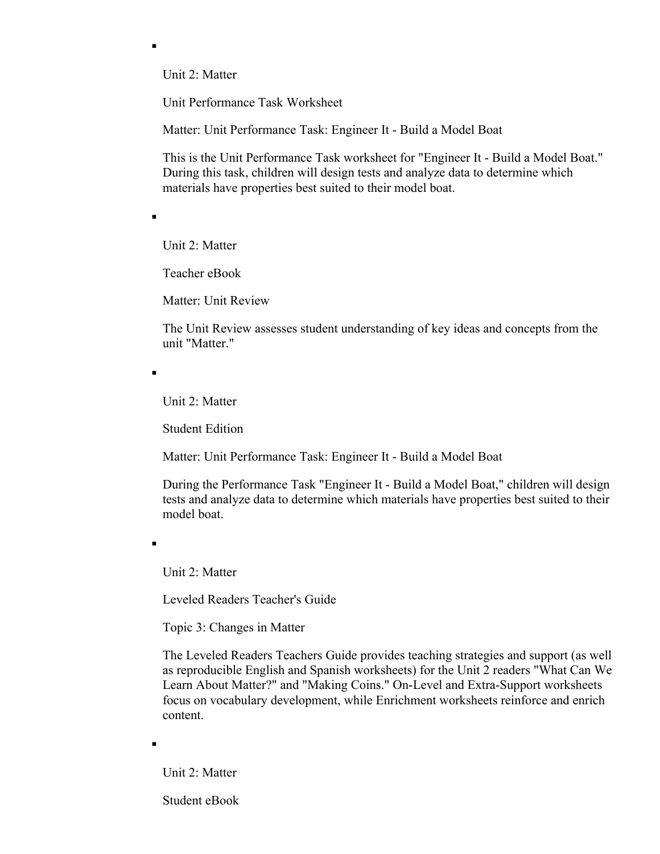Unit 2: Matter

Unit Performance Task Worksheet

Matter: Unit Performance Task: Engineer It - Build a Model Boat

This is the Unit Performance Task worksheet for "Engineer It - Build a Model Boat." During this task, children will design tests and analyze data to determine which materials have properties best suited to their model boat.

 $\blacksquare$ 

 $\blacksquare$ 

Unit 2: Matter

Teacher eBook

Matter: Unit Review

The Unit Review assesses student understanding of key ideas and concepts from the unit "Matter."

 $\blacksquare$ 

Unit 2: Matter

Student Edition

Matter: Unit Performance Task: Engineer It - Build a Model Boat

During the Performance Task "Engineer It - Build a Model Boat," children will design tests and analyze data to determine which materials have properties best suited to their model boat.

 $\blacksquare$ 

Unit 2: Matter

Leveled Readers Teacher's Guide

Topic 3: Changes in Matter

The Leveled Readers Teachers Guide provides teaching strategies and support (as well as reproducible English and Spanish worksheets) for the Unit 2 readers "What Can We Learn About Matter?" and "Making Coins." On-Level and Extra-Support worksheets focus on vocabulary development, while Enrichment worksheets reinforce and enrich content.

 $\blacksquare$ 

Unit 2: Matter

Student eBook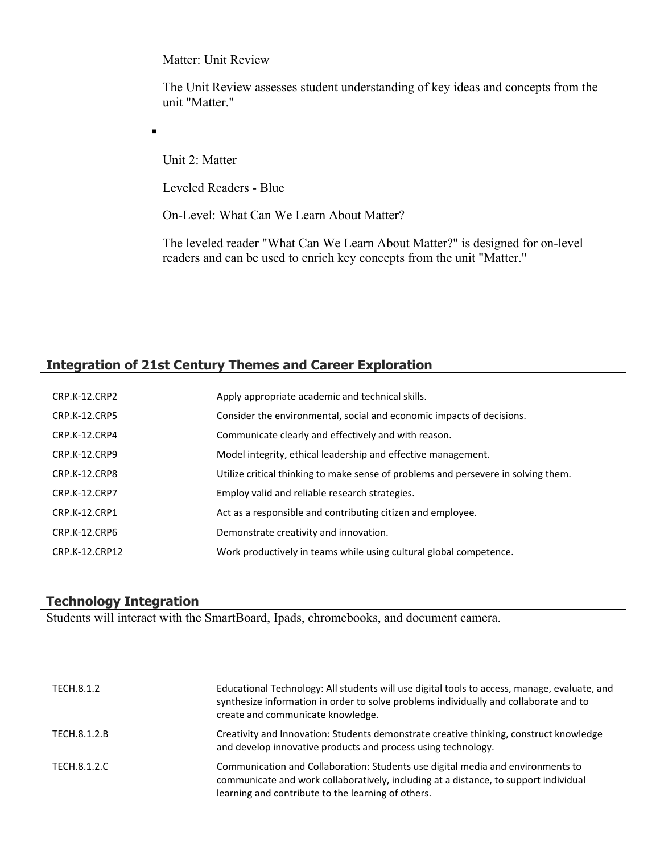Matter: Unit Review

The Unit Review assesses student understanding of key ideas and concepts from the unit "Matter."

 $\blacksquare$ 

Unit 2: Matter

Leveled Readers - Blue

On-Level: What Can We Learn About Matter?

The leveled reader "What Can We Learn About Matter?" is designed for on-level readers and can be used to enrich key concepts from the unit "Matter."

## **Integration of 21st Century Themes and Career Exploration**

| CRP.K-12.CRP2        | Apply appropriate academic and technical skills.                                   |
|----------------------|------------------------------------------------------------------------------------|
| <b>CRP.K-12.CRP5</b> | Consider the environmental, social and economic impacts of decisions.              |
| CRP.K-12.CRP4        | Communicate clearly and effectively and with reason.                               |
| CRP.K-12.CRP9        | Model integrity, ethical leadership and effective management.                      |
| CRP.K-12.CRP8        | Utilize critical thinking to make sense of problems and persevere in solving them. |
| CRP.K-12.CRP7        | Employ valid and reliable research strategies.                                     |
| CRP.K-12.CRP1        | Act as a responsible and contributing citizen and employee.                        |
| CRP.K-12.CRP6        | Demonstrate creativity and innovation.                                             |
| CRP.K-12.CRP12       | Work productively in teams while using cultural global competence.                 |

## **Technology Integration**

Students will interact with the SmartBoard, Ipads, chromebooks, and document camera.

| TECH.8.1.2   | Educational Technology: All students will use digital tools to access, manage, evaluate, and<br>synthesize information in order to solve problems individually and collaborate and to<br>create and communicate knowledge.    |
|--------------|-------------------------------------------------------------------------------------------------------------------------------------------------------------------------------------------------------------------------------|
| TECH.8.1.2.B | Creativity and Innovation: Students demonstrate creative thinking, construct knowledge<br>and develop innovative products and process using technology.                                                                       |
| TECH.8.1.2.C | Communication and Collaboration: Students use digital media and environments to<br>communicate and work collaboratively, including at a distance, to support individual<br>learning and contribute to the learning of others. |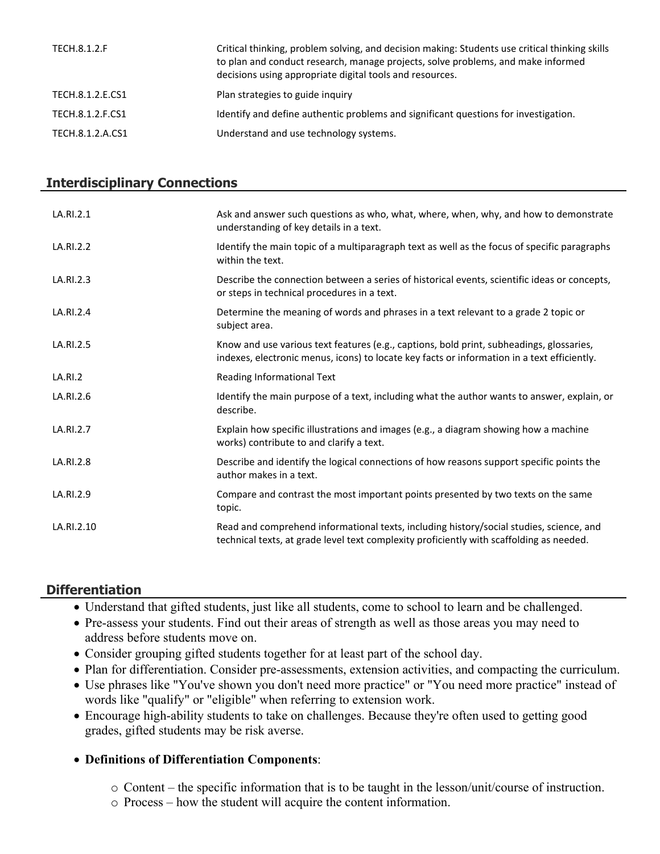| TECH.8.1.2.F     | Critical thinking, problem solving, and decision making: Students use critical thinking skills<br>to plan and conduct research, manage projects, solve problems, and make informed<br>decisions using appropriate digital tools and resources. |
|------------------|------------------------------------------------------------------------------------------------------------------------------------------------------------------------------------------------------------------------------------------------|
| TECH.8.1.2.E.CS1 | Plan strategies to guide inquiry                                                                                                                                                                                                               |
| TECH.8.1.2.F.CS1 | Identify and define authentic problems and significant questions for investigation.                                                                                                                                                            |
| TECH.8.1.2.A.CS1 | Understand and use technology systems.                                                                                                                                                                                                         |

#### **Interdisciplinary Connections**

| LA.RI.2.1      | Ask and answer such questions as who, what, where, when, why, and how to demonstrate<br>understanding of key details in a text.                                                         |
|----------------|-----------------------------------------------------------------------------------------------------------------------------------------------------------------------------------------|
| LA.RI.2.2      | Identify the main topic of a multiparagraph text as well as the focus of specific paragraphs<br>within the text.                                                                        |
| LA.RI.2.3      | Describe the connection between a series of historical events, scientific ideas or concepts,<br>or steps in technical procedures in a text.                                             |
| LA.RI.2.4      | Determine the meaning of words and phrases in a text relevant to a grade 2 topic or<br>subject area.                                                                                    |
| LA.RI.2.5      | Know and use various text features (e.g., captions, bold print, subheadings, glossaries,<br>indexes, electronic menus, icons) to locate key facts or information in a text efficiently. |
| <b>LA.RI.2</b> | Reading Informational Text                                                                                                                                                              |
| LA.RI.2.6      | Identify the main purpose of a text, including what the author wants to answer, explain, or<br>describe.                                                                                |
| LA.RI.2.7      | Explain how specific illustrations and images (e.g., a diagram showing how a machine<br>works) contribute to and clarify a text.                                                        |
| LA.RI.2.8      | Describe and identify the logical connections of how reasons support specific points the<br>author makes in a text.                                                                     |
| LA.RI.2.9      | Compare and contrast the most important points presented by two texts on the same<br>topic.                                                                                             |
| LA.RI.2.10     | Read and comprehend informational texts, including history/social studies, science, and<br>technical texts, at grade level text complexity proficiently with scaffolding as needed.     |

## **Differentiation**

- Understand that gifted students, just like all students, come to school to learn and be challenged.
- Pre-assess your students. Find out their areas of strength as well as those areas you may need to address before students move on.
- Consider grouping gifted students together for at least part of the school day.
- Plan for differentiation. Consider pre-assessments, extension activities, and compacting the curriculum.
- Use phrases like "You've shown you don't need more practice" or "You need more practice" instead of words like "qualify" or "eligible" when referring to extension work.
- Encourage high-ability students to take on challenges. Because they're often used to getting good grades, gifted students may be risk averse.

## **Definitions of Differentiation Components**:

- o Content the specific information that is to be taught in the lesson/unit/course of instruction.
- o Process how the student will acquire the content information.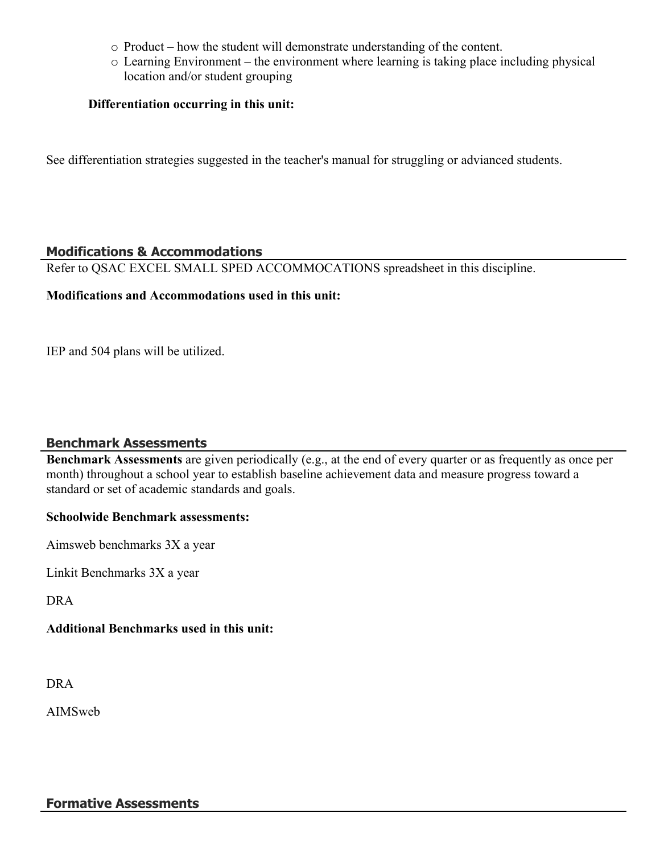- o Product how the student will demonstrate understanding of the content.
- o Learning Environment the environment where learning is taking place including physical location and/or student grouping

#### **Differentiation occurring in this unit:**

See differentiation strategies suggested in the teacher's manual for struggling or advianced students.

### **Modifications & Accommodations**

Refer to QSAC EXCEL SMALL SPED ACCOMMOCATIONS spreadsheet in this discipline.

### **Modifications and Accommodations used in this unit:**

IEP and 504 plans will be utilized.

## **Benchmark Assessments**

**Benchmark Assessments** are given periodically (e.g., at the end of every quarter or as frequently as once per month) throughout a school year to establish baseline achievement data and measure progress toward a standard or set of academic standards and goals.

#### **Schoolwide Benchmark assessments:**

Aimsweb benchmarks 3X a year

Linkit Benchmarks 3X a year

DRA

## **Additional Benchmarks used in this unit:**

DRA

AIMSweb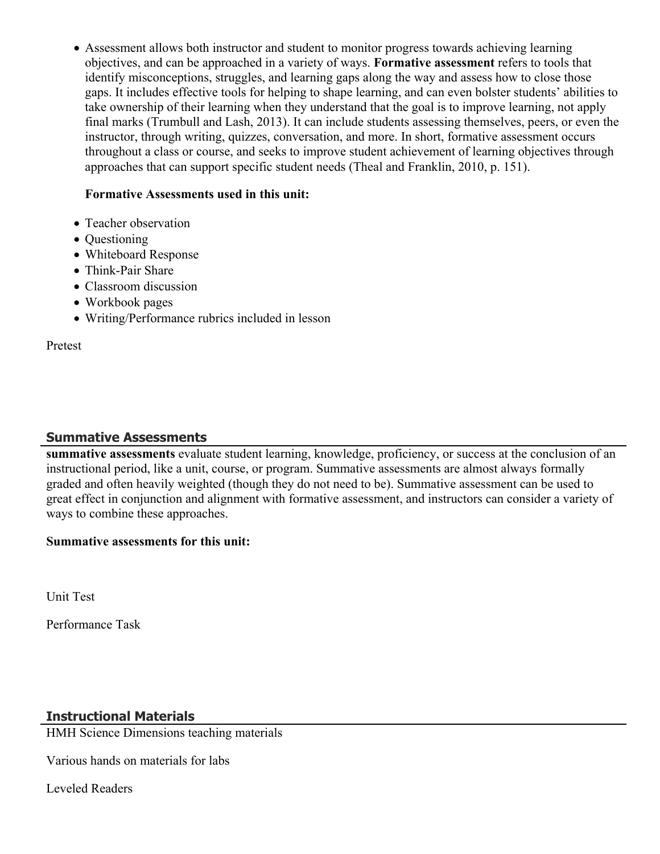Assessment allows both instructor and student to monitor progress towards achieving learning objectives, and can be approached in a variety of ways. **Formative assessment** refers to tools that identify misconceptions, struggles, and learning gaps along the way and assess how to close those gaps. It includes effective tools for helping to shape learning, and can even bolster students' abilities to take ownership of their learning when they understand that the goal is to improve learning, not apply final marks (Trumbull and Lash, 2013). It can include students assessing themselves, peers, or even the instructor, through writing, quizzes, conversation, and more. In short, formative assessment occurs throughout a class or course, and seeks to improve student achievement of learning objectives through approaches that can support specific student needs (Theal and Franklin, 2010, p. 151).

#### **Formative Assessments used in this unit:**

- Teacher observation
- Ouestioning
- Whiteboard Response
- Think-Pair Share
- Classroom discussion
- Workbook pages
- Writing/Performance rubrics included in lesson

Pretest

#### **Summative Assessments**

**summative assessments** evaluate student learning, knowledge, proficiency, or success at the conclusion of an instructional period, like a unit, course, or program. Summative assessments are almost always formally graded and often heavily weighted (though they do not need to be). Summative assessment can be used to great effect in conjunction and alignment with formative assessment, and instructors can consider a variety of ways to combine these approaches.

#### **Summative assessments for this unit:**

Unit Test

Performance Task

#### **Instructional Materials**

HMH Science Dimensions teaching materials

Various hands on materials for labs

Leveled Readers